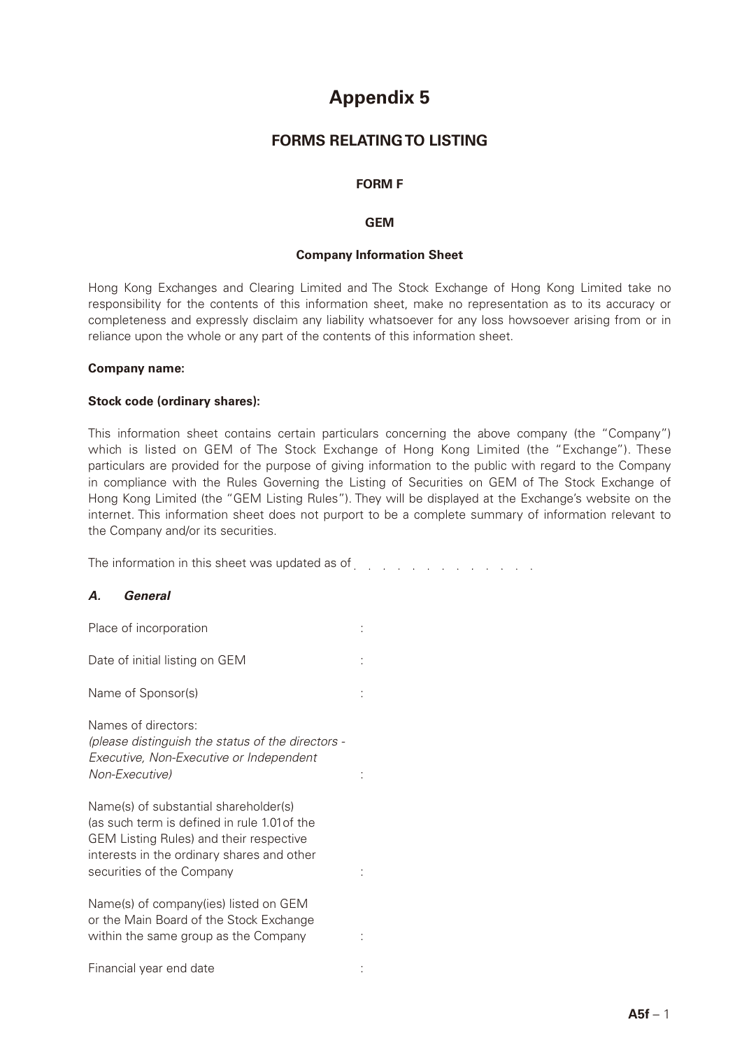# **Appendix 5**

## **FORMS RELATING TO LISTING**

#### **FORM F**

#### **GEM**

#### **Company Information Sheet**

Hong Kong Exchanges and Clearing Limited and The Stock Exchange of Hong Kong Limited take no responsibility for the contents of this information sheet, make no representation as to its accuracy or completeness and expressly disclaim any liability whatsoever for any loss howsoever arising from or in reliance upon the whole or any part of the contents of this information sheet.

#### **Company name:**

#### **Stock code (ordinary shares):**

This information sheet contains certain particulars concerning the above company (the "Company") which is listed on GEM of The Stock Exchange of Hong Kong Limited (the "Exchange"). These particulars are provided for the purpose of giving information to the public with regard to the Company in compliance with the Rules Governing the Listing of Securities on GEM of The Stock Exchange of Hong Kong Limited (the "GEM Listing Rules"). They will be displayed at the Exchange's website on the internet. This information sheet does not purport to be a complete summary of information relevant to the Company and/or its securities.

The information in this sheet was updated as of entity and account of the interval of the interval of the interval of the interval of the interval of the interval of the interval of the interval of the interval of the inte

#### *A. General*

| Place of incorporation                                                                                                                                                                                             |  |
|--------------------------------------------------------------------------------------------------------------------------------------------------------------------------------------------------------------------|--|
| Date of initial listing on GEM                                                                                                                                                                                     |  |
| Name of Sponsor(s)                                                                                                                                                                                                 |  |
| Names of directors:<br>(please distinguish the status of the directors -<br>Executive, Non-Executive or Independent<br>Non-Executive)                                                                              |  |
| Name(s) of substantial shareholder(s)<br>(as such term is defined in rule 1.01 of the<br><b>GEM Listing Rules) and their respective</b><br>interests in the ordinary shares and other<br>securities of the Company |  |
| Name(s) of company(ies) listed on GEM<br>or the Main Board of the Stock Exchange<br>within the same group as the Company                                                                                           |  |
| Financial year end date                                                                                                                                                                                            |  |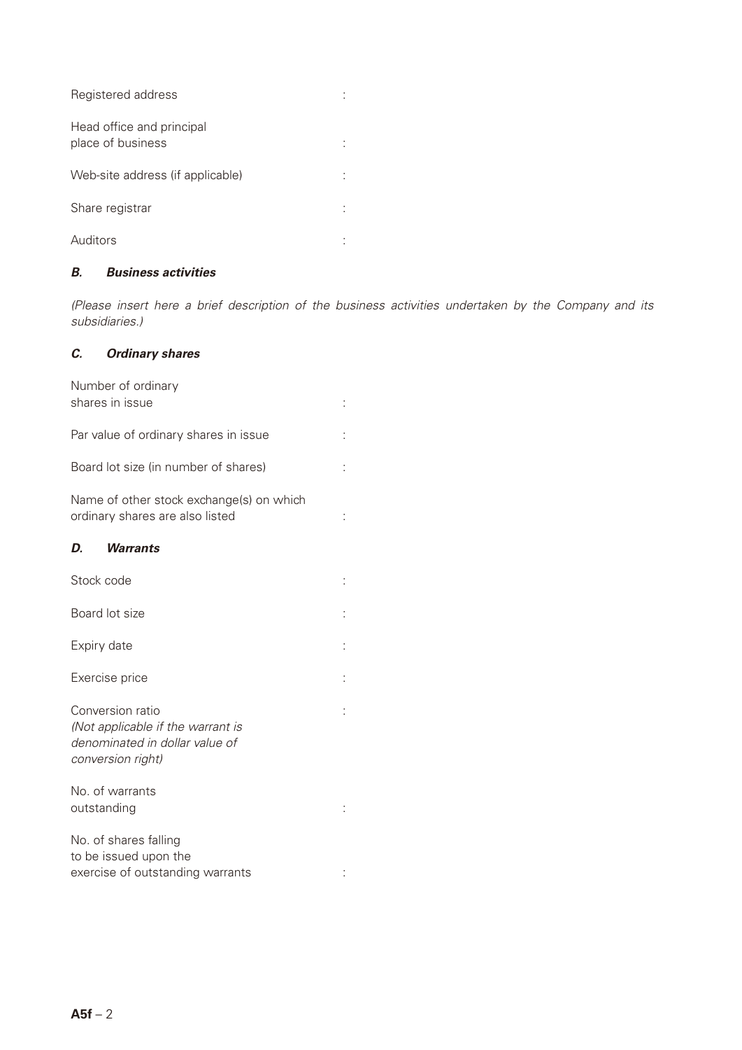| Registered address                             |  |
|------------------------------------------------|--|
| Head office and principal<br>place of business |  |
| Web-site address (if applicable)               |  |
| Share registrar                                |  |
| Auditors                                       |  |

## *B. Business activities*

*(Please insert here a brief description of the business activities undertaken by the Company and its subsidiaries.)*

## *C. Ordinary shares*

| Number of ordinary<br>shares in issue                                                                        |  |
|--------------------------------------------------------------------------------------------------------------|--|
| Par value of ordinary shares in issue                                                                        |  |
| Board lot size (in number of shares)                                                                         |  |
| Name of other stock exchange(s) on which<br>ordinary shares are also listed                                  |  |
| <b>Warrants</b><br>D.                                                                                        |  |
| Stock code                                                                                                   |  |
| Board lot size                                                                                               |  |
| Expiry date                                                                                                  |  |
| Exercise price                                                                                               |  |
| Conversion ratio<br>(Not applicable if the warrant is<br>denominated in dollar value of<br>conversion right) |  |
| No. of warrants<br>outstanding                                                                               |  |
| No. of shares falling<br>to be issued upon the<br>exercise of outstanding warrants                           |  |